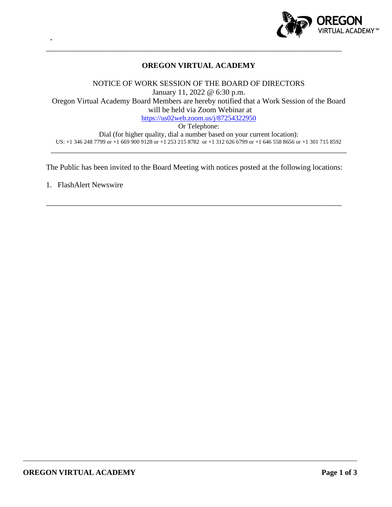

# **OREGON VIRTUAL ACADEMY**

\_\_\_\_\_\_\_\_\_\_\_\_\_\_\_\_\_\_\_\_\_\_\_\_\_\_\_\_\_\_\_\_\_\_\_\_\_\_\_\_\_\_\_\_\_\_\_\_\_\_\_\_\_\_\_\_\_\_\_\_\_\_\_\_\_\_\_\_\_\_\_\_\_\_\_\_\_

NOTICE OF WORK SESSION OF THE BOARD OF DIRECTORS January 11, 2022 @ 6:30 p.m. Oregon Virtual Academy Board Members are hereby notified that a Work Session of the Board will be held via Zoom Webinar at <https://us02web.zoom.us/j/87254322950> Or Telephone:

Dial (for higher quality, dial a number based on your current location): US: +1 346 248 7799 or +1 669 900 9128 or +1 253 215 8782 or +1 312 626 6799 or +1 646 558 8656 or +1 301 715 8592 \_\_\_\_\_\_\_\_\_\_\_\_\_\_\_\_\_\_\_\_\_\_\_\_\_\_\_\_\_\_\_\_\_\_\_\_\_\_\_\_\_\_\_\_\_\_\_\_\_\_\_\_\_\_\_\_\_\_\_\_\_\_\_\_\_\_\_\_\_\_\_\_\_\_\_\_\_

The Public has been invited to the Board Meeting with notices posted at the following locations:

\_\_\_\_\_\_\_\_\_\_\_\_\_\_\_\_\_\_\_\_\_\_\_\_\_\_\_\_\_\_\_\_\_\_\_\_\_\_\_\_\_\_\_\_\_\_\_\_\_\_\_\_\_\_\_\_\_\_\_\_\_\_\_\_\_\_\_\_\_\_\_\_\_\_\_\_\_

1. FlashAlert Newswire

-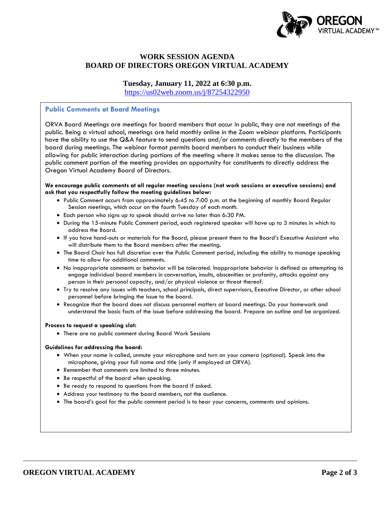

# **WORK SESSION AGENDA BOARD OF DIRECTORS OREGON VIRTUAL ACADEMY**

### **Tuesday, January 11, 2022 at 6:30 p.m.**

<https://us02web.zoom.us/j/87254322950>

### **Public Comments at Board Meetings**

ORVA Board Meetings are meetings for board members that occur in public, they are not meetings of the public. Being a virtual school, meetings are held monthly online in the Zoom webinar platform. Participants have the ability to use the Q&A feature to send questions and/or comments directly to the members of the board during meetings. The webinar format permits board members to conduct their business while allowing for public interaction during portions of the meeting where it makes sense to the discussion. The public comment portion of the meeting provides an opportunity for constituents to directly address the Oregon Virtual Academy Board of Directors.

#### **We encourage public comments at all regular meeting sessions (not work sessions or executive sessions) and ask that you respectfully follow the meeting guidelines below:**

- Public Comment occurs from approximately 6:45 to 7:00 p.m. at the beginning of monthly Board Regular Session meetings, which occur on the fourth Tuesday of each month.
- Each person who signs up to speak should arrive no later than 6:30 PM.
- During the 15-minute Public Comment period, each registered speaker will have up to 3 minutes in which to address the Board.
- If you have hand-outs or materials for the Board, please present them to the Board's Executive Assistant who will distribute them to the Board members after the meeting.
- The Board Chair has full discretion over the Public Comment period, including the ability to manage speaking time to allow for additional comments.
- No inappropriate comments or behavior will be tolerated. Inappropriate behavior is defined as attempting to engage individual board members in conversation, insults, obscenities or profanity, attacks against any person in their personal capacity, and/or physical violence or threat thereof.
- Try to resolve any issues with teachers, school principals, direct supervisors, Executive Director, or other school personnel before bringing the issue to the board.
- Recognize that the board does not discuss personnel matters at board meetings. Do your homework and understand the basic facts of the issue before addressing the board. Prepare an outline and be organized.

### **Process to request a speaking slot:**

• There are no public comment during Board Work Sessions

#### **Guidelines for addressing the board:**

- When your name is called, unmute your microphone and turn on your camera (optional). Speak into the microphone, giving your full name and title (only if employed at ORVA).
- Remember that comments are limited to three minutes.
- Be respectful of the board when speaking.
- Be ready to respond to questions from the board if asked.
- Address your testimony to the board members, not the audience.
- The board's goal for the public comment period is to hear your concerns, comments and opinions.